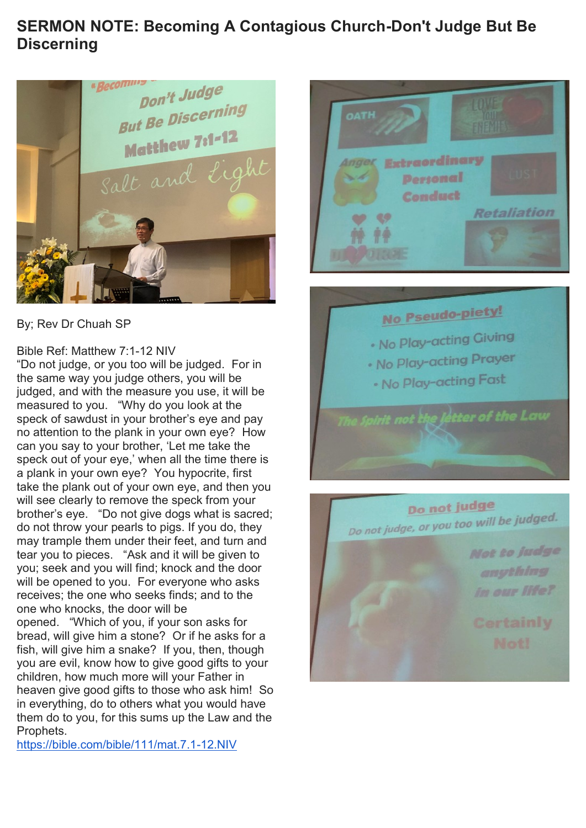#### **SERMON NOTE: Becoming A Contagious Church-Don't Judge But Be Discerning**



By; Rev Dr Chuah SP

#### Bible Ref: Matthew 7:1-12 NIV

"Do not judge, or you too will be judged. For in the same way you judge others, you will be judged, and with the measure you use, it will be measured to you. "Why do you look at the speck of sawdust in your brother's eye and pay no attention to the plank in your own eye? How can you say to your brother, 'Let me take the speck out of your eye,' when all the time there is a plank in your own eye? You hypocrite, first take the plank out of your own eye, and then you will see clearly to remove the speck from your brother's eye. "Do not give dogs what is sacred; do not throw your pearls to pigs. If you do, they may trample them under their feet, and turn and tear you to pieces. "Ask and it will be given to you; seek and you will find; knock and the door will be opened to you. For everyone who asks receives; the one who seeks finds; and to the one who knocks, the door will be opened. "Which of you, if your son asks for bread, will give him a stone? Or if he asks for a fish, will give him a snake? If you, then, though you are evil, know how to give good gifts to your children, how much more will your Father in heaven give good gifts to those who ask him! So

in everything, do to others what you would have them do to you, for this sums up the Law and the Prophets.

<https://bible.com/bible/111/mat.7.1-12.NIV>





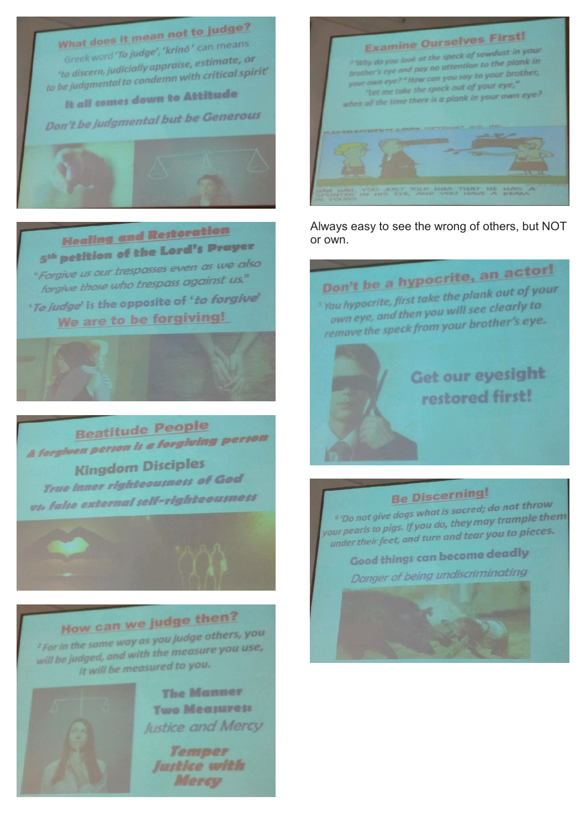#### What does it mean not to judge? Greek word 'To judge', 'krino' can means 'to discern, judicially appraise, estimate, or to be judgmental to condemn with critical spirit'

It all comes down to Attitude

Don't be judgmental but be Generous



#### **Healing and Restoration** 5<sup>th</sup> petition of the Lord's Prayer "Forgive us our trespasses even as we also

forgive those who trespass against us." 'To judge' is the opposite of 'to forgive'

We are to be forgiving!



**Beatitude People** A forgiven person is a forgiving person **Kingdom Disciples True Inner righteousness of God** vt. false external self-righteousness

## How can we judge then?

<sup>2</sup> For in the same way as you judge others, you will be judged, and with the measure you use, it will be measured to you.



**The Manner Two Measuress** Justice and Mercy

Temper Justice with Mercy



Always easy to see the wrong of others, but NOT or own.

Don't be a hypocrite, an actor! <sup>5</sup> You hypocrite, first take the plank out of your own eye, and then you will see clearly to remove the speck from your brother's eye.

> Get our eyesight restored first!

#### **Be Discerning!**

<sup>6</sup> 'Do not give dogs what is sacred; do not throw your pearls to pigs. If you do, they may tra<mark>mple them</mark> under their feet, and turn and tear you to pieces.

**Good things can become deadly** Danger of being undiscriminating